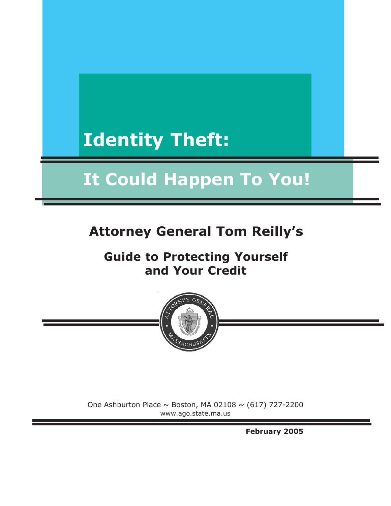# **Identity Theft:**

# **It Could Happen To You!**

# **Attorney General Tom Reilly's**

# **Guide to Protecting Yourself and Your Credit**



One Ashburton Place  $\sim$  Boston, MA 02108  $\sim$  (617) 727-2200 www.ago.state.ma.us

**February 2005**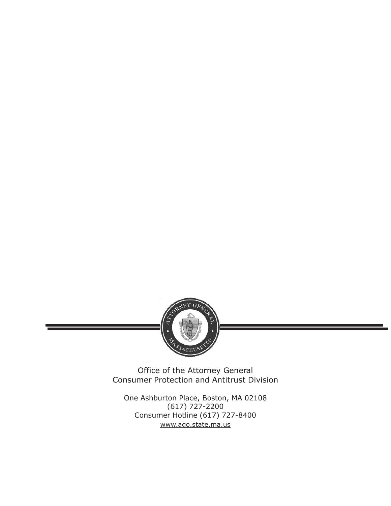

Office of the Attorney General Consumer Protection and Antitrust Division

One Ashburton Place, Boston, MA 02108 (617) 727-2200 Consumer Hotline (617) 727-8400 www.ago.state.ma.us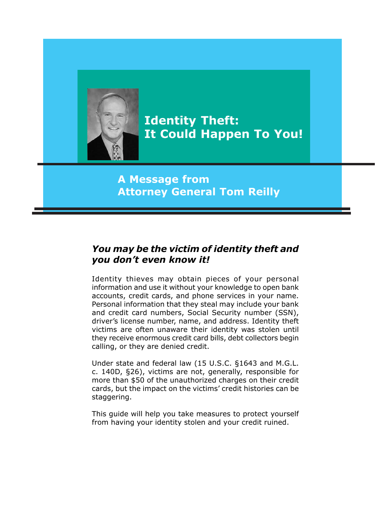

**Identity Theft: It Could Happen To You!**

# **A Message from Attorney General Tom Reilly**

### *You may be the victim of identity theft and you don't even know it!*

Identity thieves may obtain pieces of your personal information and use it without your knowledge to open bank accounts, credit cards, and phone services in your name. Personal information that they steal may include your bank and credit card numbers, Social Security number (SSN), driver's license number, name, and address. Identity theft victims are often unaware their identity was stolen until they receive enormous credit card bills, debt collectors begin calling, or they are denied credit.

Under state and federal law (15 U.S.C. §1643 and M.G.L. c. 140D, §26), victims are not, generally, responsible for more than \$50 of the unauthorized charges on their credit cards, but the impact on the victims' credit histories can be staggering.

This guide will help you take measures to protect yourself from having your identity stolen and your credit ruined.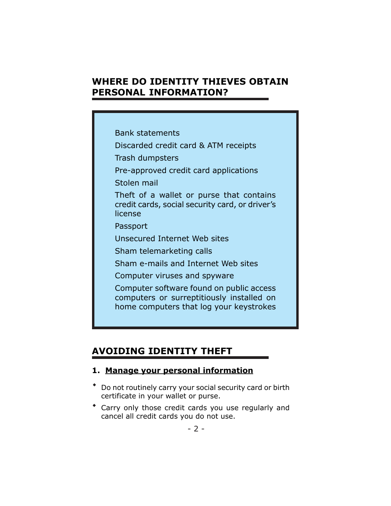## **WHERE DO IDENTITY THIEVES OBTAIN PERSONAL INFORMATION?**

Bank statements

Discarded credit card & ATM receipts

Trash dumpsters

Pre-approved credit card applications

Stolen mail

Theft of a wallet or purse that contains credit cards, social security card, or driver's license

Passport

Unsecured Internet Web sites

Sham telemarketing calls

Sham e-mails and Internet Web sites

Computer viruses and spyware

Computer software found on public access computers or surreptitiously installed on home computers that log your keystrokes

# **AVOIDING IDENTITY THEFT**

#### **1. Manage your personal information**

- Do not routinely carry your social security card or birth certificate in your wallet or purse.
- Carry only those credit cards you use regularly and cancel all credit cards you do not use.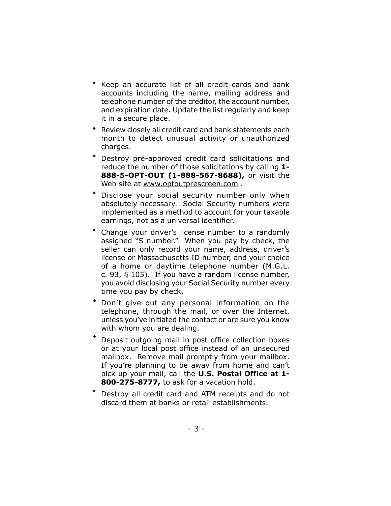- Keep an accurate list of all credit cards and bank accounts including the name, mailing address and telephone number of the creditor, the account number, and expiration date. Update the list regularly and keep it in a secure place.  $\bullet$
- Review closely all credit card and bank statements each month to detect unusual activity or unauthorized charges.
- Destroy pre-approved credit card solicitations and reduce the number of those solicitations by calling **1- 888-5-OPT-OUT (1-888-567-8688),** or visit the Web site at www.optoutprescreen.com.  $\bullet$
- Disclose your social security number only when absolutely necessary. Social Security numbers were implemented as a method to account for your taxable earnings, not as a universal identifier.  $\bullet$
- Change your driver's license number to a randomly assigned "S number." When you pay by check, the seller can only record your name, address, driver's license or Massachusetts ID number, and your choice of a home or daytime telephone number (M.G.L. c. 93, § 105). If you have a random license number, you avoid disclosing your Social Security number every time you pay by check.  $\bullet$
- Don't give out any personal information on the telephone, through the mail, or over the Internet, unless you've initiated the contact or are sure you know with whom you are dealing.  $\bullet$
- Deposit outgoing mail in post office collection boxes or at your local post office instead of an unsecured mailbox. Remove mail promptly from your mailbox. If you're planning to be away from home and can't pick up your mail, call the **U.S. Postal Office at 1- 800-275-8777,** to ask for a vacation hold.  $\bullet$
- Destroy all credit card and ATM receipts and do not discard them at banks or retail establishments.  $\bullet$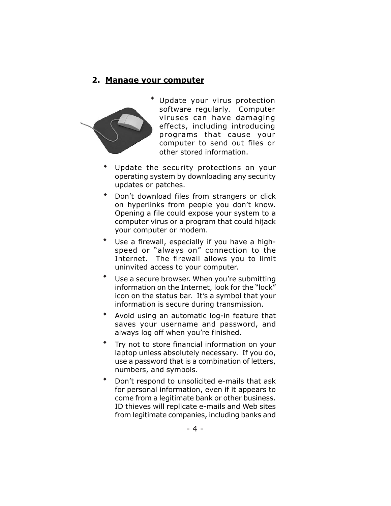#### **2. Manage your computer**



 Update your virus protection software regularly. Computer viruses can have damaging effects, including introducing programs that cause your computer to send out files or other stored information.

- Update the security protections on your operating system by downloading any security updates or patches.  $\bullet$
- Don't download files from strangers or click on hyperlinks from people you don't know. Opening a file could expose your system to a computer virus or a program that could hijack your computer or modem.  $\bullet$
- Use a firewall, especially if you have a highspeed or "always on" connection to the Internet. The firewall allows you to limit uninvited access to your computer.  $\bullet$
- Use a secure browser. When you're submitting information on the Internet, look for the "lock" icon on the status bar. It's a symbol that your information is secure during transmission.  $\bullet$
- Avoid using an automatic log-in feature that saves your username and password, and always log off when you're finished.  $\bullet$
- Try not to store financial information on your laptop unless absolutely necessary. If you do, use a password that is a combination of letters, numbers, and symbols.  $\bullet$
- Don't respond to unsolicited e-mails that ask for personal information, even if it appears to come from a legitimate bank or other business. ID thieves will replicate e-mails and Web sites from legitimate companies, including banks and  $\bullet$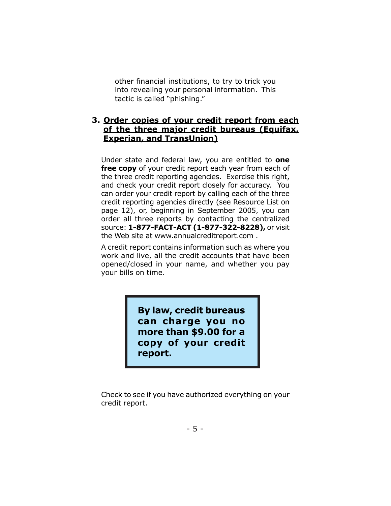other financial institutions, to try to trick you into revealing your personal information. This tactic is called "phishing."

#### **3. Order copies of your credit report from each of the three major credit bureaus (Equifax, Experian, and TransUnion)**

Under state and federal law, you are entitled to **one free copy** of your credit report each year from each of the three credit reporting agencies. Exercise this right, and check your credit report closely for accuracy. You can order your credit report by calling each of the three credit reporting agencies directly (see Resource List on page 12), or, beginning in September 2005, you can order all three reports by contacting the centralized source: **1-877-FACT-ACT (1-877-322-8228),** or visit the Web site at www.annualcreditreport.com .

A credit report contains information such as where you work and live, all the credit accounts that have been opened/closed in your name, and whether you pay your bills on time.

> **By law, credit bureaus can charge you no more than \$9.00 for a copy of your credit report.**

Check to see if you have authorized everything on your credit report.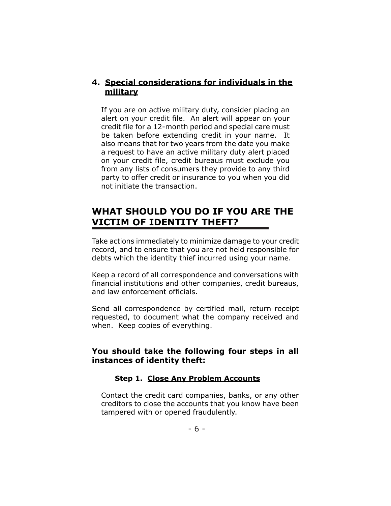#### **4. Special considerations for individuals in the military**

If you are on active military duty, consider placing an alert on your credit file. An alert will appear on your credit file for a 12-month period and special care must be taken before extending credit in your name. It also means that for two years from the date you make a request to have an active military duty alert placed on your credit file, credit bureaus must exclude you from any lists of consumers they provide to any third party to offer credit or insurance to you when you did not initiate the transaction.

## **WHAT SHOULD YOU DO IF YOU ARE THE VICTIM OF IDENTITY THEFT?**

Take actions immediately to minimize damage to your credit record, and to ensure that you are not held responsible for debts which the identity thief incurred using your name.

Keep a record of all correspondence and conversations with financial institutions and other companies, credit bureaus, and law enforcement officials.

Send all correspondence by certified mail, return receipt requested, to document what the company received and when. Keep copies of everything.

#### **You should take the following four steps in all instances of identity theft:**

#### **Step 1. Close Any Problem Accounts**

Contact the credit card companies, banks, or any other creditors to close the accounts that you know have been tampered with or opened fraudulently.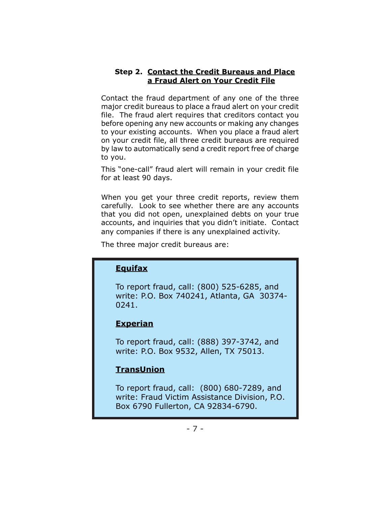#### **Step 2. Contact the Credit Bureaus and Place a Fraud Alert on Your Credit File**

Contact the fraud department of any one of the three major credit bureaus to place a fraud alert on your credit file. The fraud alert requires that creditors contact you before opening any new accounts or making any changes to your existing accounts. When you place a fraud alert on your credit file, all three credit bureaus are required by law to automatically send a credit report free of charge to you.

This "one-call" fraud alert will remain in your credit file for at least 90 days.

When you get your three credit reports, review them carefully. Look to see whether there are any accounts that you did not open, unexplained debts on your true accounts, and inquiries that you didn't initiate. Contact any companies if there is any unexplained activity.

The three major credit bureaus are:

#### **Equifax**

To report fraud, call: (800) 525-6285, and write: P.O. Box 740241, Atlanta, GA 30374- 0241.

#### **Experian**

To report fraud, call: (888) 397-3742, and write: P.O. Box 9532, Allen, TX 75013.

#### **TransUnion**

To report fraud, call: (800) 680-7289, and write: Fraud Victim Assistance Division, P.O. Box 6790 Fullerton, CA 92834-6790.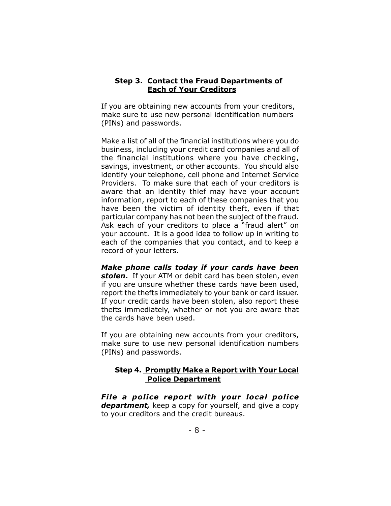#### **Step 3. Contact the Fraud Departments of Each of Your Creditors**

If you are obtaining new accounts from your creditors, make sure to use new personal identification numbers (PINs) and passwords.

Make a list of all of the financial institutions where you do business, including your credit card companies and all of the financial institutions where you have checking, savings, investment, or other accounts. You should also identify your telephone, cell phone and Internet Service Providers. To make sure that each of your creditors is aware that an identity thief may have your account information, report to each of these companies that you have been the victim of identity theft, even if that particular company has not been the subject of the fraud. Ask each of your creditors to place a "fraud alert" on your account. It is a good idea to follow up in writing to each of the companies that you contact, and to keep a record of your letters.

*Make phone calls today if your cards have been stolen***.** If your ATM or debit card has been stolen, even if you are unsure whether these cards have been used, report the thefts immediately to your bank or card issuer. If your credit cards have been stolen, also report these thefts immediately, whether or not you are aware that the cards have been used.

If you are obtaining new accounts from your creditors, make sure to use new personal identification numbers (PINs) and passwords.

#### **Step 4. Promptly Make a Report with Your Local Police Department**

*File a police report with your local police department,* keep a copy for yourself, and give a copy to your creditors and the credit bureaus.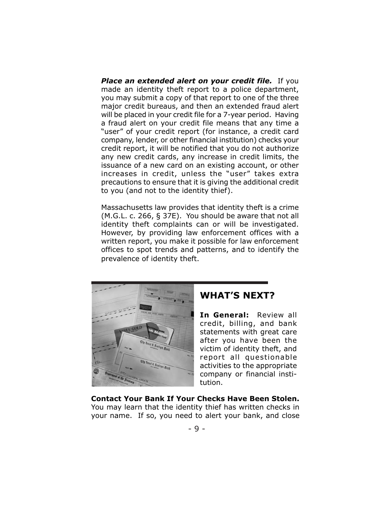*Place an extended alert on your credit file.* If you made an identity theft report to a police department, you may submit a copy of that report to one of the three major credit bureaus, and then an extended fraud alert will be placed in your credit file for a 7-year period. Having a fraud alert on your credit file means that any time a "user" of your credit report (for instance, a credit card company, lender, or other financial institution) checks your credit report, it will be notified that you do not authorize any new credit cards, any increase in credit limits, the issuance of a new card on an existing account, or other increases in credit, unless the "user" takes extra precautions to ensure that it is giving the additional credit to you (and not to the identity thief).

Massachusetts law provides that identity theft is a crime (M.G.L. c. 266, § 37E). You should be aware that not all identity theft complaints can or will be investigated. However, by providing law enforcement offices with a written report, you make it possible for law enforcement offices to spot trends and patterns, and to identify the prevalence of identity theft.



#### **WHAT'S NEXT?**

**In General:** Review all credit, billing, and bank statements with great care after you have been the victim of identity theft, and report all questionable activities to the appropriate company or financial institution.

**Contact Your Bank If Your Checks Have Been Stolen.** You may learn that the identity thief has written checks in your name. If so, you need to alert your bank, and close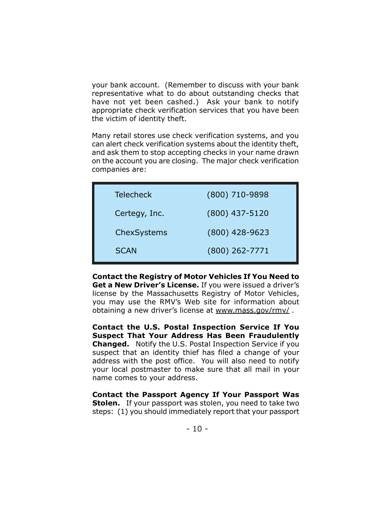your bank account. (Remember to discuss with your bank representative what to do about outstanding checks that have not yet been cashed.) Ask your bank to notify appropriate check verification services that you have been the victim of identity theft.

Many retail stores use check verification systems, and you can alert check verification systems about the identity theft, and ask them to stop accepting checks in your name drawn on the account you are closing. The major check verification companies are:

| <b>Telecheck</b> | (800) 710-9898   |
|------------------|------------------|
| Certegy, Inc.    | $(800)$ 437-5120 |
| ChexSystems      | $(800)$ 428-9623 |
| <b>SCAN</b>      | $(800)$ 262-7771 |

**Contact the Registry of Motor Vehicles If You Need to Get a New Driver's License.** If you were issued a driver's license by the Massachusetts Registry of Motor Vehicles, you may use the RMV's Web site for information about obtaining a new driver's license at www.mass.gov/rmv/ .

**Contact the U.S. Postal Inspection Service If You Suspect That Your Address Has Been Fraudulently Changed.** Notify the U.S. Postal Inspection Service if you suspect that an identity thief has filed a change of your address with the post office. You will also need to notify your local postmaster to make sure that all mail in your name comes to your address.

**Contact the Passport Agency If Your Passport Was Stolen.** If your passport was stolen, you need to take two steps: (1) you should immediately report that your passport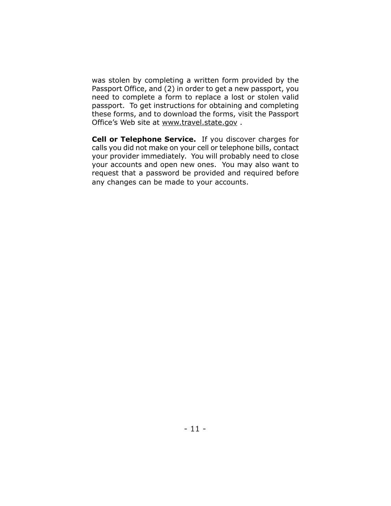was stolen by completing a written form provided by the Passport Office, and (2) in order to get a new passport, you need to complete a form to replace a lost or stolen valid passport. To get instructions for obtaining and completing these forms, and to download the forms, visit the Passport Office's Web site at www.travel.state.gov .

**Cell or Telephone Service.** If you discover charges for calls you did not make on your cell or telephone bills, contact your provider immediately. You will probably need to close your accounts and open new ones. You may also want to request that a password be provided and required before any changes can be made to your accounts.